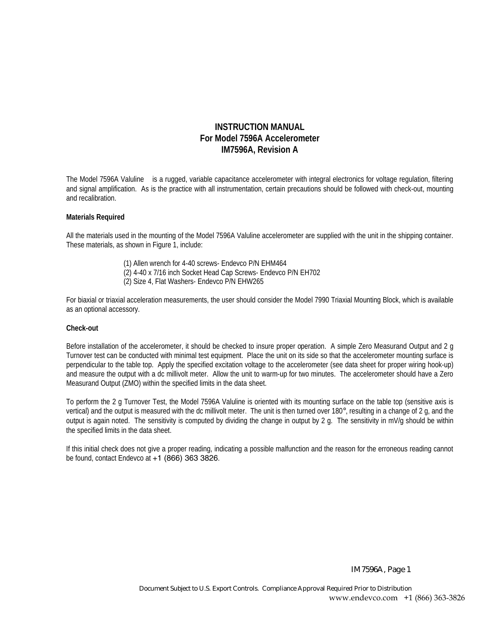# **INSTRUCTION MANUAL For Model 7596A Accelerometer IM7596A, Revision A**

The Model 7596A Valuline™ is a rugged, variable capacitance accelerometer with integral electronics for voltage regulation, filtering and signal amplification. As is the practice with all instrumentation, certain precautions should be followed with check-out, mounting and recalibration.

#### **Materials Required**

All the materials used in the mounting of the Model 7596A Valuline accelerometer are supplied with the unit in the shipping container. These materials, as shown in Figure 1, include:

- (1) Allen wrench for 4-40 screws- Endevco P/N EHM464
- (2) 4-40 x 7/16 inch Socket Head Cap Screws- Endevco P/N EH702
- (2) Size 4, Flat Washers- Endevco P/N EHW265

For biaxial or triaxial acceleration measurements, the user should consider the Model 7990 Triaxial Mounting Block, which is available as an optional accessory.

#### **Check-out**

Before installation of the accelerometer, it should be checked to insure proper operation. A simple Zero Measurand Output and 2 g Turnover test can be conducted with minimal test equipment. Place the unit on its side so that the accelerometer mounting surface is perpendicular to the table top. Apply the specified excitation voltage to the accelerometer (see data sheet for proper wiring hook-up) and measure the output with a dc millivolt meter. Allow the unit to warm-up for two minutes. The accelerometer should have a Zero Measurand Output (ZMO) within the specified limits in the data sheet.

To perform the 2 g Turnover Test, the Model 7596A Valuline is oriented with its mounting surface on the table top (sensitive axis is vertical) and the output is measured with the dc millivolt meter. The unit is then turned over 180°, resulting in a change of 2 g, and the output is again noted. The sensitivity is computed by dividing the change in output by 2 g. The sensitivity in mV/g should be within the specified limits in the data sheet.

If this initial check does not give a proper reading, indicating a possible malfunction and the reason for the erroneous reading cannot be found, contact Endevco at +1 (866) 363 3826.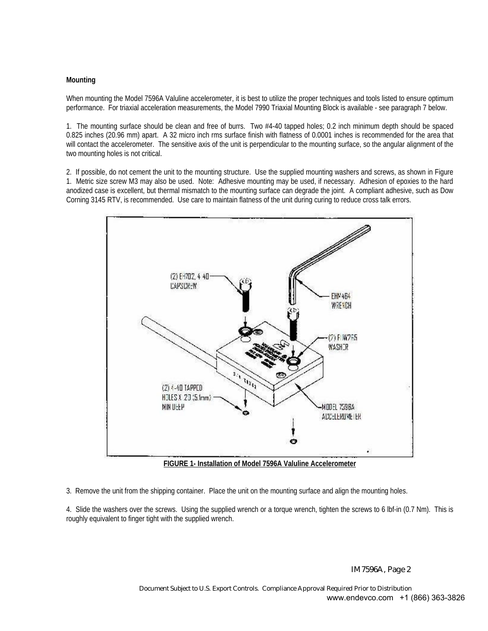## **Mounting**

When mounting the Model 7596A Valuline accelerometer, it is best to utilize the proper techniques and tools listed to ensure optimum performance. For triaxial acceleration measurements, the Model 7990 Triaxial Mounting Block is available - see paragraph 7 below.

1. The mounting surface should be clean and free of burrs. Two #4-40 tapped holes; 0.2 inch minimum depth should be spaced 0.825 inches (20.96 mm) apart. A 32 micro inch rms surface finish with flatness of 0.0001 inches is recommended for the area that will contact the accelerometer. The sensitive axis of the unit is perpendicular to the mounting surface, so the angular alignment of the two mounting holes is not critical.

2. If possible, do not cement the unit to the mounting structure. Use the supplied mounting washers and screws, as shown in Figure 1. Metric size screw M3 may also be used. Note: Adhesive mounting may be used, if necessary. Adhesion of epoxies to the hard anodized case is excellent, but thermal mismatch to the mounting surface can degrade the joint. A compliant adhesive, such as Dow Corning 3145 RTV, is recommended. Use care to maintain flatness of the unit during curing to reduce cross talk errors.



**FIGURE 1- Installation of Model 7596A Valuline Accelerometer**

3. Remove the unit from the shipping container. Place the unit on the mounting surface and align the mounting holes.

4. Slide the washers over the screws. Using the supplied wrench or a torque wrench, tighten the screws to 6 lbf-in (0.7 Nm). This is roughly equivalent to finger tight with the supplied wrench.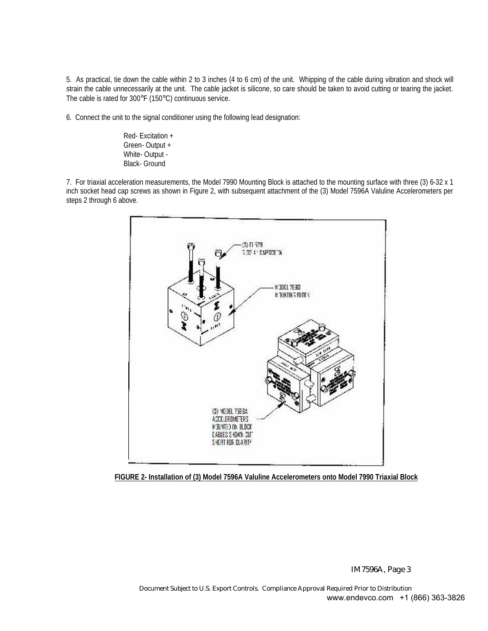5. As practical, tie down the cable within 2 to 3 inches (4 to 6 cm) of the unit. Whipping of the cable during vibration and shock will strain the cable unnecessarily at the unit. The cable jacket is silicone, so care should be taken to avoid cutting or tearing the jacket. The cable is rated for 300°F (150°C) continuous service.

6. Connect the unit to the signal conditioner using the following lead designation:

Red- Excitation + Green- Output + White- Output - Black- Ground

7. For triaxial acceleration measurements, the Model 7990 Mounting Block is attached to the mounting surface with three (3) 6-32 x 1 inch socket head cap screws as shown in Figure 2, with subsequent attachment of the (3) Model 7596A Valuline Accelerometers per steps 2 through 6 above.



**FIGURE 2- Installation of (3) Model 7596A Valuline Accelerometers onto Model 7990 Triaxial Block**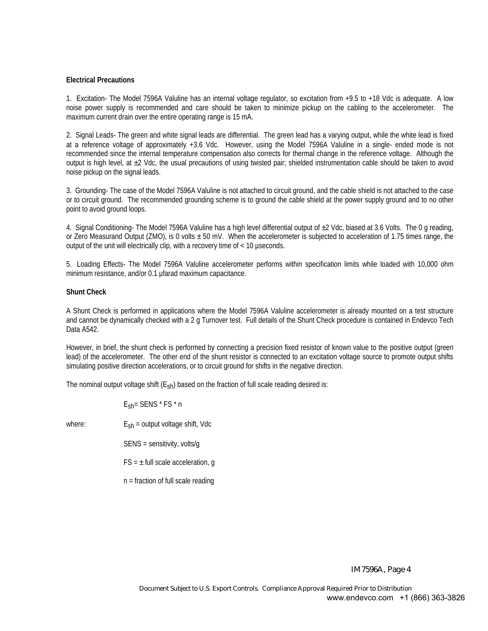### **Electrical Precautions**

1. Excitation- The Model 7596A Valuline has an internal voltage regulator, so excitation from +9.5 to +18 Vdc is adequate. A low noise power supply is recommended and care should be taken to minimize pickup on the cabling to the accelerometer. The maximum current drain over the entire operating range is 15 mA.

2. Signal Leads- The green and white signal leads are differential. The green lead has a varying output, while the white lead is fixed at a reference voltage of approximately +3.6 Vdc. However, using the Model 7596A Valuline in a single- ended mode is not recommended since the internal temperature compensation also corrects for thermal change in the reference voltage. Although the output is high level, at  $\pm 2$  Vdc, the usual precautions of using twisted pair; shielded instrumentation cable should be taken to avoid noise pickup on the signal leads.

3. Grounding- The case of the Model 7596A Valuline is not attached to circuit ground, and the cable shield is not attached to the case or to circuit ground. The recommended grounding scheme is to ground the cable shield at the power supply ground and to no other point to avoid ground loops.

4. Signal Conditioning- The Model 7596A Valuline has a high level differential output of ±2 Vdc, biased at 3.6 Volts. The 0 g reading, or Zero Measurand Output (ZMO), is 0 volts ± 50 mV. When the accelerometer is subjected to acceleration of 1.75 times range, the output of the unit will electrically clip, with a recovery time of < 10 µseconds.

5. Loading Effects- The Model 7596A Valuline accelerometer performs within specification limits while loaded with 10,000 ohm minimum resistance, and/or 0.1 µfarad maximum capacitance.

### **Shunt Check**

A Shunt Check is performed in applications where the Model 7596A Valuline accelerometer is already mounted on a test structure and cannot be dynamically checked with a 2 g Turnover test. Full details of the Shunt Check procedure is contained in Endevco Tech Data A542.

However, in brief, the shunt check is performed by connecting a precision fixed resistor of known value to the positive output (green lead) of the accelerometer. The other end of the shunt resistor is connected to an excitation voltage source to promote output shifts simulating positive direction accelerations, or to circuit ground for shifts in the negative direction.

The nominal output voltage shift  $(E<sub>sh</sub>)$  based on the fraction of full scale reading desired is:

Esh= SENS \* FS \* n

where:  $E_{sh}$  = output voltage shift, Vdc

SENS = sensitivity, volts/g

 $FS = \pm$  full scale acceleration, q

n = fraction of full scale reading